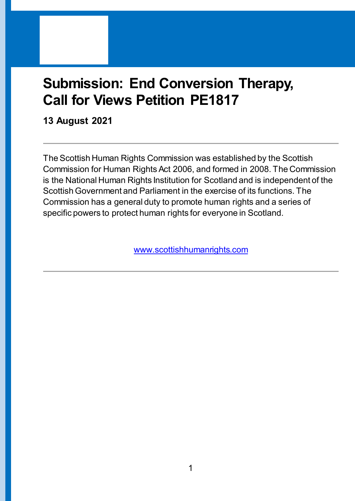# **Submission: End Conversion Therapy, Call for Views Petition PE1817**

**13 August 2021**

The Scottish Human Rights Commission was established by the Scottish Commission for Human Rights Act 2006, and formed in 2008. The Commission is the National Human Rights Institution for Scotland and is independent of the Scottish Government and Parliament in the exercise of its functions. The Commission has a general duty to promote human rights and a series of specific powers to protect human rights for everyone in Scotland.

[www.scottishhumanrights.com](http://www.scottishhumanrights.com/)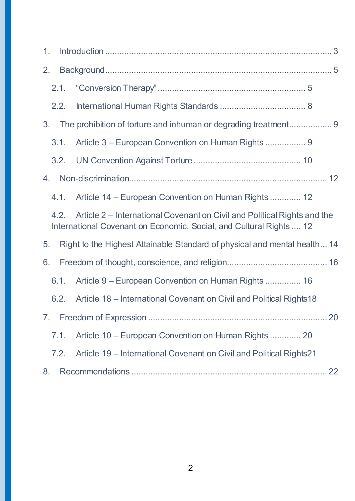| 1.                                                                                                                                                      |      |                                                                     |
|---------------------------------------------------------------------------------------------------------------------------------------------------------|------|---------------------------------------------------------------------|
| 2.                                                                                                                                                      |      |                                                                     |
|                                                                                                                                                         | 2.1. |                                                                     |
|                                                                                                                                                         | 2.2. |                                                                     |
| 3.                                                                                                                                                      |      |                                                                     |
|                                                                                                                                                         | 3.1. | Article 3 – European Convention on Human Rights  9                  |
|                                                                                                                                                         | 3.2. |                                                                     |
| 4.                                                                                                                                                      |      |                                                                     |
|                                                                                                                                                         | 4.1. | Article 14 – European Convention on Human Rights  12                |
| Article 2 – International Covenant on Civil and Political Rights and the<br>4.2.<br>International Covenant on Economic, Social, and Cultural Rights  12 |      |                                                                     |
| Right to the Highest Attainable Standard of physical and mental health 14<br>5.                                                                         |      |                                                                     |
| 6.                                                                                                                                                      |      |                                                                     |
|                                                                                                                                                         | 6.1. | Article 9 – European Convention on Human Rights  16                 |
|                                                                                                                                                         | 6.2. | Article 18 – International Covenant on Civil and Political Rights18 |
|                                                                                                                                                         |      |                                                                     |
|                                                                                                                                                         | 7.1. | Article 10 – European Convention on Human Rights  20                |
|                                                                                                                                                         | 7.2. | Article 19 – International Covenant on Civil and Political Rights21 |
| 8.                                                                                                                                                      |      |                                                                     |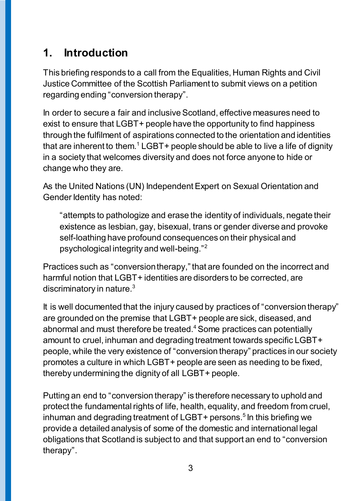## <span id="page-2-0"></span>**1. Introduction**

This briefing responds to a call from the Equalities, Human Rights and Civil Justice Committee of the Scottish Parliament to submit views on a petition regarding ending "conversion therapy".

In order to secure a fair and inclusive Scotland, effective measures need to exist to ensure that LGBT+ people have the opportunity to find happiness through the fulfilment of aspirations connected to the orientation and identities that are inherent to them.<sup>1</sup> LGBT+ people should be able to live a life of dignity in a society that welcomes diversity and does not force anyone to hide or change who they are.

As the United Nations (UN) Independent Expert on Sexual Orientation and Gender Identity has noted:

"attempts to pathologize and erase the identity of individuals, negate their existence as lesbian, gay, bisexual, trans or gender diverse and provoke self-loathing have profound consequences on their physical and psychological integrity and well-being." 2

Practices such as "conversiontherapy,"that are founded on the incorrect and harmful notion that LGBT+ identities are disorders to be corrected, are discriminatory in nature.<sup>3</sup>

It is well documented that the injury caused by practices of "conversion therapy" are grounded on the premise that LGBT+ people are sick, diseased, and abnormal and must therefore be treated.<sup>4</sup> Some practices can potentially amount to cruel, inhuman and degrading treatment towards specific LGBT+ people, while the very existence of "conversion therapy" practices in our society promotes a culture in which LGBT+ people are seen as needing to be fixed, thereby undermining the dignity of all LGBT+ people.

Putting an end to "conversion therapy" is therefore necessary to uphold and protect the fundamental rights of life, health, equality, and freedom from cruel, inhuman and degrading treatment of LGBT+ persons. 5 In this briefing we provide a detailed analysis of some of the domestic and international legal obligations that Scotland is subject to and that support an end to "conversion therapy".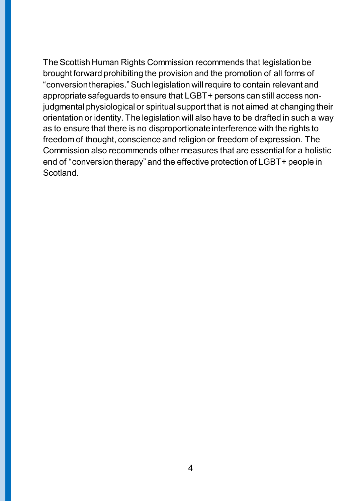The Scottish Human Rights Commission recommends that legislation be brought forward prohibiting the provision and the promotion of all forms of "conversion therapies." Such legislation will require to contain relevant and appropriate safeguards to ensure that LGBT+ persons can still access nonjudgmental physiological or spiritual support that is not aimed at changing their orientation or identity. The legislation will also have to be drafted in such a way as to ensure that there is no disproportionate interference with the rights to freedom of thought, conscience and religion or freedom of expression. The Commission also recommends other measures that are essential for a holistic end of "conversion therapy" and the effective protection of LGBT+ people in Scotland.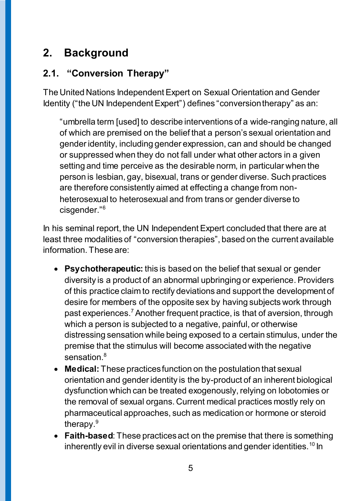## <span id="page-4-0"></span>**2. Background**

### <span id="page-4-1"></span>**2.1. "Conversion Therapy"**

The United Nations Independent Expert on Sexual Orientation and Gender Identity ("the UN Independent Expert") defines "conversion therapy" as an:

"umbrella term [used] to describe interventions of a wide-ranging nature, all of which are premised on the belief that a person's sexual orientation and gender identity, including gender expression, can and should be changed or suppressed when they do not fall under what other actors in a given setting and time perceive as the desirable norm, in particular when the person is lesbian, gay, bisexual, trans or gender diverse. Such practices are therefore consistently aimed at effecting a change from nonheterosexual to heterosexual and from trans or gender diverse to cisgender." 6

In his seminal report, the UN Independent Expert concluded that there are at least three modalities of "conversion therapies", based on the current available information. These are:

- **Psychotherapeutic:** this is based on the belief that sexual or gender diversity is a product of an abnormal upbringing or experience. Providers of this practice claim to rectify deviations and support the development of desire for members of the opposite sex by having subjects work through past experiences.<sup>7</sup> Another frequent practice, is that of aversion, through which a person is subjected to a negative, painful, or otherwise distressing sensation while being exposed to a certain stimulus, under the premise that the stimulus will become associated with the negative sensation.<sup>8</sup>
- **Medical:** These practices function on the postulation that sexual orientation and gender identity is the by-product of an inherent biological dysfunction which can be treated exogenously, relying on lobotomies or the removal of sexual organs. Current medical practices mostly rely on pharmaceutical approaches, such as medication or hormone or steroid therapy.<sup>9</sup>
- **Faith-based**: These practicesact on the premise that there is something inherently evil in diverse sexual orientations and gender identities.<sup>10</sup> In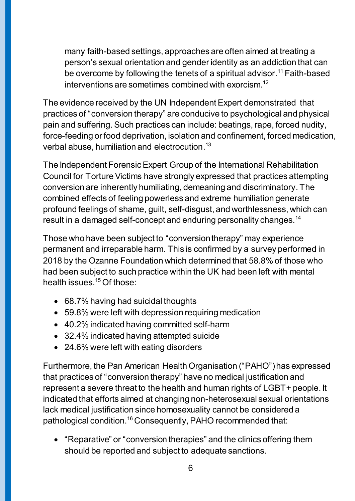many faith-based settings, approaches are often aimed at treating a person's sexual orientation and gender identity as an addiction that can be overcome by following the tenets of a spiritual advisor. <sup>11</sup> Faith-based interventions are sometimes combined with exorcism. 12

The evidence received by the UN Independent Expert demonstrated that practices of "conversion therapy" are conducive to psychological and physical pain and suffering. Such practices can include: beatings, rape, forced nudity, force-feeding or food deprivation, isolation and confinement, forced medication, verbal abuse, humiliation and electrocution. 13

The Independent Forensic Expert Group of the International Rehabilitation Council for Torture Victims have strongly expressed that practices attempting conversion are inherently humiliating, demeaning and discriminatory. The combined effects of feeling powerless and extreme humiliation generate profound feelings of shame, guilt, self-disgust, and worthlessness, which can result in a damaged self-concept and enduring personality changes.<sup>14</sup>

Those who have been subject to "conversion therapy" may experience permanent and irreparable harm. This is confirmed by a survey performed in 2018 by the Ozanne Foundation which determined that 58.8% of those who had been subject to such practice within the UK had been left with mental health issues.<sup>15</sup> Of those:

- 68.7% having had suicidal thoughts
- 59.8% were left with depression requiring medication
- 40.2% indicated having committed self-harm
- 32.4% indicated having attempted suicide
- 24.6% were left with eating disorders

Furthermore, the Pan American Health Organisation ("PAHO") has expressed that practices of "conversion therapy" have no medical justification and represent a severe threat to the health and human rights of LGBT+ people. It indicated that efforts aimed at changing non-heterosexual sexual orientations lack medical justification since homosexuality cannot be considered a pathological condition.<sup>16</sup> Consequently, PAHO recommended that:

• "Reparative" or "conversion therapies" and the clinics offering them should be reported and subject to adequate sanctions.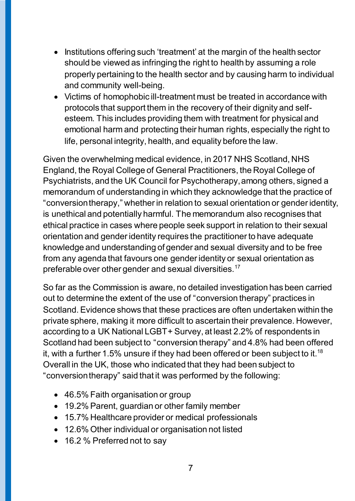- Institutions offering such 'treatment' at the margin of the health sector should be viewed as infringing the right to health by assuming a role properly pertaining to the health sector and by causing harm to individual and community well-being.
- Victims of homophobic ill-treatment must be treated in accordance with protocols that support them in the recovery of their dignity and selfesteem. This includes providing them with treatment for physical and emotional harm and protecting their human rights, especially the right to life, personal integrity, health, and equality before the law.

Given the overwhelming medical evidence, in 2017 NHS Scotland, NHS England, the Royal College of General Practitioners, the Royal College of Psychiatrists, and the UK Council for Psychotherapy, among others, signed a memorandum of understanding in which they acknowledge that the practice of "conversion therapy," whether in relation to sexual orientation or gender identity, is unethical and potentially harmful. The memorandum also recognises that ethical practice in cases where people seek support in relation to their sexual orientation and gender identity requires the practitioner to have adequate knowledge and understanding of gender and sexual diversity and to be free from any agenda that favours one gender identity or sexual orientation as preferable over other gender and sexual diversities.<sup>17</sup>

So far as the Commission is aware, no detailed investigation has been carried out to determine the extent of the use of "conversion therapy" practices in Scotland. Evidence shows that these practices are often undertaken within the private sphere, making it more difficult to ascertain their prevalence. However, according to a UK National LGBT+ Survey, at least 2.2% of respondents in Scotland had been subject to "conversion therapy" and 4.8% had been offered it, with a further 1.5% unsure if they had been offered or been subject to it.<sup>18</sup> Overall in the UK, those who indicated that they had been subject to "conversion therapy" said that it was performed by the following:

- 46.5% Faith organisation or group
- 19.2% Parent, guardian or other family member
- 15.7% Healthcare provider or medical professionals
- 12.6% Other individual or organisation not listed
- 16.2 % Preferred not to say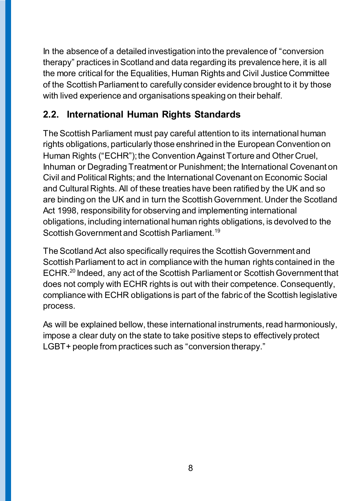In the absence of a detailed investigation into the prevalence of "conversion therapy" practices in Scotland and data regarding its prevalence here, it is all the more critical for the Equalities, Human Rights and Civil Justice Committee of the Scottish Parliament to carefully consider evidence brought to it by those with lived experience and organisations speaking on their behalf.

### <span id="page-7-0"></span>**2.2. International Human Rights Standards**

The Scottish Parliament must pay careful attention to its international human rights obligations, particularly those enshrined in the European Convention on Human Rights ("ECHR"); the Convention Against Torture and Other Cruel, Inhuman or Degrading Treatment or Punishment; the International Covenant on Civil and Political Rights; and the International Covenant on Economic Social and Cultural Rights. All of these treaties have been ratified by the UK and so are binding on the UK and in turn the Scottish Government. Under the Scotland Act 1998, responsibility for observing and implementing international obligations, including international human rights obligations, is devolved to the Scottish Government and Scottish Parliament.<sup>19</sup>

The Scotland Act also specifically requires the Scottish Government and Scottish Parliament to act in compliance with the human rights contained in the ECHR.<sup>20</sup> Indeed, any act of the Scottish Parliament or Scottish Government that does not comply with ECHR rights is out with their competence. Consequently, compliance with ECHR obligations is part of the fabric of the Scottish legislative process.

As will be explained bellow, these international instruments, read harmoniously, impose a clear duty on the state to take positive steps to effectively protect LGBT+ people from practices such as "conversion therapy."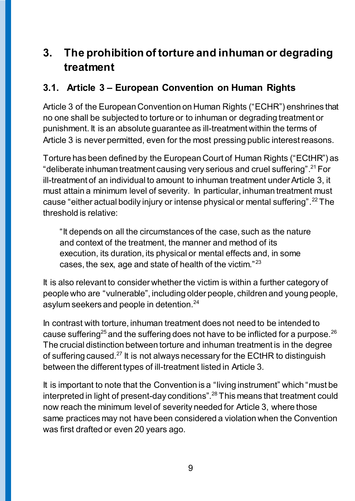## <span id="page-8-0"></span>**3. The prohibition of torture and inhuman or degrading treatment**

### <span id="page-8-1"></span>**3.1. Article 3 – European Convention on Human Rights**

Article 3 of the European Convention on Human Rights ("ECHR") enshrines that no one shall be subjected to torture or to inhuman or degrading treatment or punishment. It is an absolute guarantee as ill-treatment within the terms of Article 3 is never permitted, even for the most pressing public interest reasons.

Torture has been defined by the European Court of Human Rights ("ECtHR") as "deliberate inhuman treatment causing very serious and cruel suffering".<sup>21</sup> For ill-treatment of an individual to amount to inhuman treatment under Article 3, it must attain a minimum level of severity. In particular, inhuman treatment must cause "either actual bodily injury or intense physical or mental suffering".<sup>22</sup> The threshold is relative:

"It depends on all the circumstances of the case, such as the nature and context of the treatment, the manner and method of its execution, its duration, its physical or mental effects and, in some cases, the sex, age and state of health of the victim." <sup>23</sup>

It is also relevant to consider whether the victim is within a further category of people who are "vulnerable", including older people, children and young people, asylum seekers and people in detention.<sup>24</sup>

In contrast with torture, inhuman treatment does not need to be intended to cause suffering<sup>25</sup> and the suffering does not have to be inflicted for a purpose.<sup>26</sup> The crucial distinction between torture and inhuman treatment is in the degree of suffering caused.<sup>27</sup> It is not always necessary for the ECtHR to distinguish between the different types of ill-treatment listed in Article 3.

It is important to note that the Convention is a "living instrument" which "must be interpreted in light of present-day conditions".<sup>28</sup> This means that treatment could now reach the minimum level of severity needed for Article 3, where those same practices may not have been considered a violation when the Convention was first drafted or even 20 years ago.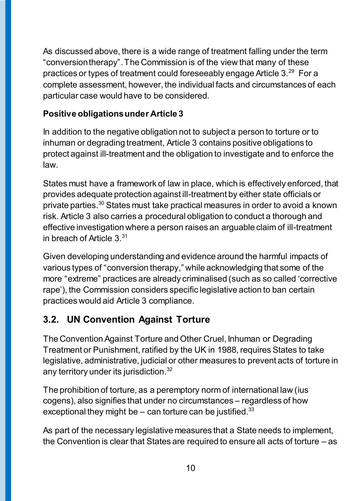As discussed above, there is a wide range of treatment falling under the term "conversion therapy". The Commission is of the view that many of these practices or types of treatment could foreseeably engage Article  $3.^{29}$  For a complete assessment, however, the individual facts and circumstances of each particular case would have to be considered.

#### **Positive obligations under Article 3**

In addition to the negative obligation not to subject a person to torture or to inhuman or degrading treatment, Article 3 contains positive obligations to protect against ill-treatment and the obligation to investigate and to enforce the law.

States must have a framework of law in place, which is effectively enforced, that provides adequate protection against ill-treatment by either state officials or private parties.<sup>30</sup> States must take practical measures in order to avoid a known risk. Article 3 also carries a procedural obligation to conduct a thorough and effective investigation where a person raises an arguable claim of ill-treatment in breach of Article  $3.^{31}$ 

Given developing understanding and evidence around the harmful impacts of various types of "conversion therapy," while acknowledging that some of the more "extreme" practices are already criminalised (such as so called 'corrective rape'), the Commission considers specific legislative action to ban certain practices would aid Article 3 compliance.

### <span id="page-9-0"></span>**3.2. UN Convention Against Torture**

The Convention Against Torture and Other Cruel, Inhuman or Degrading Treatment or Punishment, ratified by the UK in 1988, requires States to take legislative, administrative, judicial or other measures to prevent acts of torture in any territory under its jurisdiction. $^{\rm 32}$ 

The prohibition of torture, as a peremptory norm of international law (ius cogens), also signifies that under no circumstances – regardless of how exceptional they might be  $-$  can torture can be justified. $33$ 

As part of the necessary legislative measures that a State needs to implement, the Convention is clear that States are required to ensure all acts of torture – as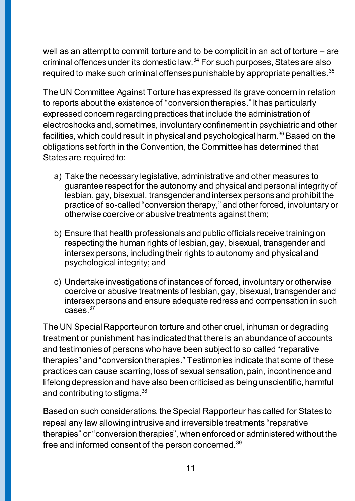well as an attempt to commit torture and to be complicit in an act of torture – are criminal offences under its domestic law.<sup>34</sup> For such purposes, States are also required to make such criminal offenses punishable by appropriate penalties.<sup>35</sup>

The UN Committee Against Torture has expressed its grave concern in relation to reports about the existence of "conversion therapies." It has particularly expressed concern regarding practices that include the administration of electroshocks and, sometimes, involuntary confinement in psychiatric and other facilities, which could result in physical and psychological harm.<sup>36</sup> Based on the obligations set forth in the Convention, the Committee has determined that States are required to:

- a) Take the necessary legislative, administrative and other measures to guarantee respect for the autonomy and physical and personal integrity of lesbian, gay, bisexual, transgender and intersex persons and prohibit the practice of so-called "conversion therapy," and other forced, involuntary or otherwise coercive or abusive treatments against them;
- b) Ensure that health professionals and public officials receive training on respecting the human rights of lesbian, gay, bisexual, transgender and intersex persons, including their rights to autonomy and physical and psychological integrity; and
- c) Undertake investigations of instances of forced, involuntary or otherwise coercive or abusive treatments of lesbian, gay, bisexual, transgender and intersex persons and ensure adequate redress and compensation in such  $cases$   $37$

The UN Special Rapporteur on torture and other cruel, inhuman or degrading treatment or punishment has indicated that there is an abundance of accounts and testimonies of persons who have been subject to so called "reparative therapies" and "conversion therapies." Testimonies indicate that some of these practices can cause scarring, loss of sexual sensation, pain, incontinence and lifelong depression and have also been criticised as being unscientific, harmful and contributing to stigma. $^{\rm 38}$ 

Based on such considerations, the Special Rapporteur has called for States to repeal any law allowing intrusive and irreversible treatments "reparative therapies" or "conversion therapies", when enforced or administered without the free and informed consent of the person concerned.<sup>39</sup>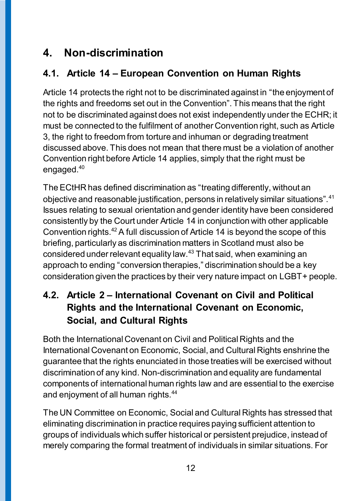## <span id="page-11-0"></span>**4. Non-discrimination**

## <span id="page-11-1"></span>**4.1. Article 14 – European Convention on Human Rights**

Article 14 protects the right not to be discriminated against in "the enjoyment of the rights and freedoms set out in the Convention". This means that the right not to be discriminated against does not exist independently under the ECHR; it must be connected to the fulfilment of another Convention right, such as Article 3, the right to freedom from torture and inhuman or degrading treatment discussed above. This does not mean that there must be a violation of another Convention right before Article 14 applies, simply that the right must be engaged.<sup>40</sup>

The ECtHR has defined discrimination as "treating differently, without an objective and reasonable justification, persons in relatively similar situations".<sup>41</sup> Issues relating to sexual orientation and gender identity have been considered consistently by the Court under Article 14 in conjunction with other applicable Convention rights.<sup>42</sup>A full discussion of Article 14 is beyond the scope of this briefing, particularly as discrimination matters in Scotland must also be considered under relevant equality law.<sup>43</sup> That said, when examining an approach to ending "conversion therapies," discrimination should be a key consideration given the practices by their very nature impact on LGBT+ people.

### <span id="page-11-2"></span>**4.2. Article 2 – International Covenant on Civil and Political Rights and the International Covenant on Economic, Social, and Cultural Rights**

Both the International Covenant on Civil and Political Rights and the International Covenant on Economic, Social, and Cultural Rights enshrine the guarantee that the rights enunciated in those treaties will be exercised without discrimination of any kind. Non-discrimination and equality are fundamental components of international human rights law and are essential to the exercise and enjoyment of all human rights.<sup>44</sup>

The UN Committee on Economic, Social and Cultural Rights has stressed that eliminating discrimination in practice requires paying sufficient attention to groups of individuals which suffer historical or persistent prejudice, instead of merely comparing the formal treatment of individuals in similar situations. For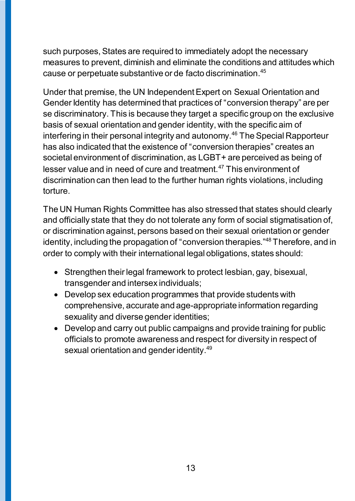such purposes, States are required to immediately adopt the necessary measures to prevent, diminish and eliminate the conditions and attitudes which cause or perpetuate substantive or de facto discrimination. 45

Under that premise, the UN Independent Expert on Sexual Orientation and Gender Identity has determined that practices of "conversion therapy" are per se discriminatory. This is because they target a specific group on the exclusive basis of sexual orientation and gender identity, with the specific aim of interfering in their personal integrity and autonomy.<sup>46</sup> The Special Rapporteur has also indicated that the existence of "conversion therapies" creates an societal environment of discrimination, as LGBT+ are perceived as being of lesser value and in need of cure and treatment.<sup>47</sup> This environment of discrimination can then lead to the further human rights violations, including torture.

The UN Human Rights Committee has also stressed that states should clearly and officially state that they do not tolerate any form of social stigmatisation of, or discrimination against, persons based on their sexual orientation or gender identity, including the propagation of "conversion therapies."<sup>48</sup> Therefore, and in order to comply with their international legal obligations, states should:

- Strengthen their legal framework to protect lesbian, gay, bisexual, transgender and intersex individuals;
- Develop sex education programmes that provide students with comprehensive, accurate and age-appropriate information regarding sexuality and diverse gender identities;
- Develop and carry out public campaigns and provide training for public officials to promote awareness and respect for diversity in respect of sexual orientation and gender identity. 49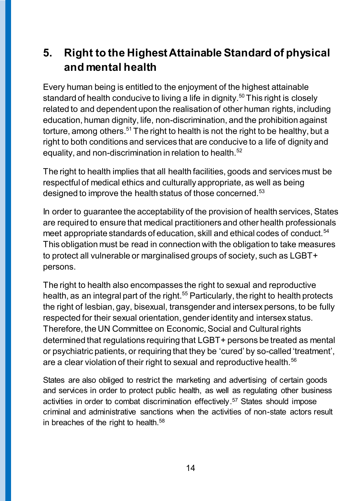## <span id="page-13-0"></span>**5. Right to the Highest Attainable Standard of physical and mental health**

Every human being is entitled to the enjoyment of the highest attainable standard of health conducive to living a life in dignity.<sup>50</sup> This right is closely related to and dependent upon the realisation of other human rights, including education, human dignity, life, non-discrimination, and the prohibition against torture, among others.<sup>51</sup> The right to health is not the right to be healthy, but a right to both conditions and services that are conducive to a life of dignity and equality, and non-discrimination in relation to health.<sup>52</sup>

The right to health implies that all health facilities, goods and services must be respectful of medical ethics and culturally appropriate, as well as being designed to improve the health status of those concerned.<sup>53</sup>

In order to guarantee the acceptability of the provision of health services, States are required to ensure that medical practitioners and other health professionals meet appropriate standards of education, skill and ethical codes of conduct.<sup>54</sup> This obligation must be read in connection with the obligation to take measures to protect all vulnerable or marginalised groups of society, such as LGBT+ persons.

The right to health also encompasses the right to sexual and reproductive health, as an integral part of the right.<sup>55</sup> Particularly, the right to health protects the right of lesbian, gay, bisexual, transgender and intersex persons, to be fully respected for their sexual orientation, gender identity and intersex status. Therefore, the UN Committee on Economic, Social and Cultural rights determined that regulations requiring that LGBT+ persons be treated as mental or psychiatric patients, or requiring that they be 'cured' by so-called 'treatment', are a clear violation of their right to sexual and reproductive health.<sup>56</sup>

States are also obliged to restrict the marketing and advertising of certain goods and services in order to protect public health, as well as regulating other business activities in order to combat discrimination effectively. <sup>57</sup> States should impose criminal and administrative sanctions when the activities of non-state actors result in breaches of the right to health.<sup>58</sup>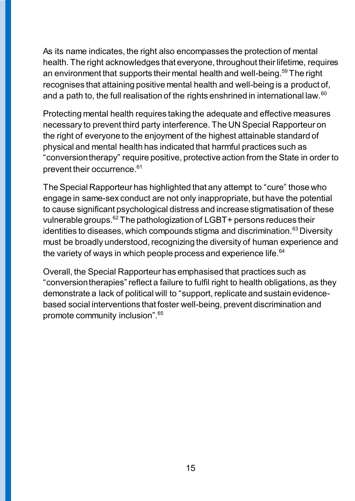As its name indicates, the right also encompasses the protection of mental health. The right acknowledges that everyone, throughout their lifetime, requires an environment that supports their mental health and well-being.<sup>59</sup> The right recognises that attaining positive mental health and well-being is a product of, and a path to, the full realisation of the rights enshrined in international law.<sup>60</sup>

Protecting mental health requires taking the adequate and effective measures necessary to prevent third party interference. The UN Special Rapporteur on the right of everyone to the enjoyment of the highest attainable standard of physical and mental health has indicated that harmful practices such as "conversion therapy" require positive, protective action from the State in order to prevent their occurrence. 61

The Special Rapporteur has highlighted that any attempt to "cure" those who engage in same-sex conduct are not only inappropriate, but have the potential to cause significant psychological distress and increase stigmatisation of these vulnerable groups.<sup>62</sup> The pathologization of LGBT+ persons reduces their identities to diseases, which compounds stigma and discrimination.<sup>63</sup> Diversity must be broadly understood, recognizing the diversity of human experience and the variety of ways in which people process and experience life.<sup>64</sup>

Overall, the Special Rapporteur has emphasised that practices such as "conversion therapies" reflect a failure to fulfil right to health obligations, as they demonstrate a lack of political will to "support, replicate and sustain evidencebased social interventions that foster well-being, prevent discrimination and promote community inclusion".65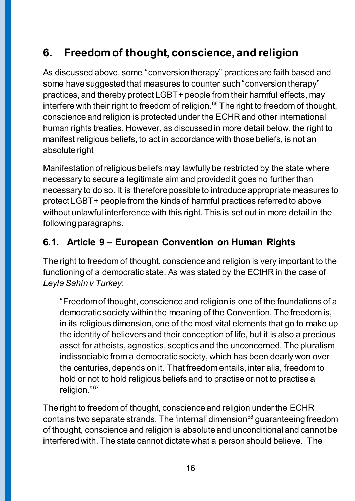## <span id="page-15-0"></span>**6. Freedom of thought, conscience, and religion**

As discussed above, some "conversion therapy" practices are faith based and some have suggested that measures to counter such "conversion therapy" practices, and thereby protect LGBT+ people from their harmful effects, may interfere with their right to freedom of religion. $66$  The right to freedom of thought, conscience and religion is protected under the ECHR and other international human rights treaties. However, as discussed in more detail below, the right to manifest religious beliefs, to act in accordance with those beliefs, is not an absolute right

Manifestation of religious beliefs may lawfully be restricted by the state where necessary to secure a legitimate aim and provided it goes no further than necessary to do so. It is therefore possible to introduce appropriate measures to protect LGBT+ people from the kinds of harmful practices referred to above without unlawful interference with this right. This is set out in more detail in the following paragraphs.

### <span id="page-15-1"></span>**6.1. Article 9 – European Convention on Human Rights**

The right to freedom of thought, conscience and religion is very important to the functioning of a democratic state. As was stated by the ECtHR in the case of *Leyla Sahin v Turkey*:

"Freedom of thought, conscience and religion is one of the foundations of a democratic society within the meaning of the Convention. The freedom is, in its religious dimension, one of the most vital elements that go to make up the identity of believers and their conception of life, but it is also a precious asset for atheists, agnostics, sceptics and the unconcerned. The pluralism indissociable from a democratic society, which has been dearly won over the centuries, depends on it. That freedom entails, inter alia, freedom to hold or not to hold religious beliefs and to practise or not to practise a religion."<sup>67</sup>

The right to freedom of thought, conscience and religion under the ECHR contains two separate strands. The 'internal' dimension<sup>68</sup> guaranteeing freedom of thought, conscience and religion is absolute and unconditional and cannot be interfered with. The state cannot dictate what a person should believe. The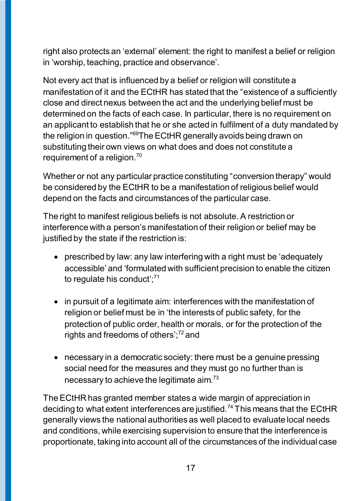right also protects an 'external' element: the right to manifest a belief or religion in 'worship, teaching, practice and observance'.

Not every act that is influenced by a belief or religion will constitute a manifestation of it and the ECtHR has stated that the "existence of a sufficiently close and direct nexus between the act and the underlying belief must be determined on the facts of each case. In particular, there is no requirement on an applicant to establish that he or she acted in fulfilment of a duty mandated by the religion in question."<sup>69</sup>The ECtHR generally avoids being drawn on substituting their own views on what does and does not constitute a requirement of a religion.<sup>70</sup>

Whether or not any particular practice constituting "conversion therapy" would be considered by the ECtHR to be a manifestation of religious belief would depend on the facts and circumstances of the particular case.

The right to manifest religious beliefs is not absolute. A restriction or interference with a person's manifestation of their religion or belief may be justified by the state if the restriction is:

- prescribed by law: any law interfering with a right must be 'adequately accessible' and 'formulated with sufficient precision to enable the citizen to regulate his conduct';<sup>71</sup>
- in pursuit of a legitimate aim: interferences with the manifestation of religion or belief must be in 'the interests of public safety, for the protection of public order, health or morals, or for the protection of the rights and freedoms of others';<sup>72</sup> and
- necessary in a democratic society: there must be a genuine pressing social need for the measures and they must go no further than is necessary to achieve the legitimate aim.<sup>73</sup>

The ECtHR has granted member states a wide margin of appreciation in deciding to what extent interferences are justified.<sup>74</sup> This means that the ECtHR generally views the national authorities as well placed to evaluate local needs and conditions, while exercising supervision to ensure that the interference is proportionate, taking into account all of the circumstances of the individual case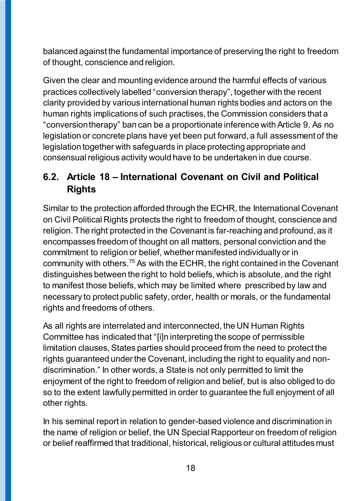balanced against the fundamental importance of preserving the right to freedom of thought, conscience and religion.

Given the clear and mounting evidence around the harmful effects of various practices collectively labelled "conversion therapy", together with the recent clarity provided by various international human rights bodies and actors on the human rights implications of such practises, the Commission considers that a "conversion therapy" ban can be a proportionate inference with Article 9. As no legislation or concrete plans have yet been put forward, a full assessment of the legislation together with safeguards in place protecting appropriate and consensual religious activity would have to be undertaken in due course.

### <span id="page-17-0"></span>**6.2. Article 18 – International Covenant on Civil and Political Rights**

Similar to the protection afforded through the ECHR, the International Covenant on Civil Political Rights protects the right to freedom of thought, conscience and religion. The right protected in the Covenant is far-reaching and profound, as it encompasses freedom of thought on all matters, personal conviction and the commitment to religion or belief, whether manifested individually or in community with others.<sup>75</sup> As with the ECHR, the right contained in the Covenant distinguishes between the right to hold beliefs, which is absolute, and the right to manifest those beliefs, which may be limited where prescribed by law and necessary to protect public safety, order, health or morals, or the fundamental rights and freedoms of others.

As all rights are interrelated and interconnected, the UN Human Rights Committee has indicated that "[i]n interpreting the scope of permissible limitation clauses, States parties should proceed from the need to protect the rights guaranteed under the Covenant, including the right to equality and nondiscrimination." In other words, a State is not only permitted to limit the enjoyment of the right to freedom of religion and belief, but is also obliged to do so to the extent lawfully permitted in order to guarantee the full enjoyment of all other rights.

In his seminal report in relation to gender-based violence and discrimination in the name of religion or belief, the UN Special Rapporteur on freedom of religion or belief reaffirmed that traditional, historical, religious or cultural attitudes must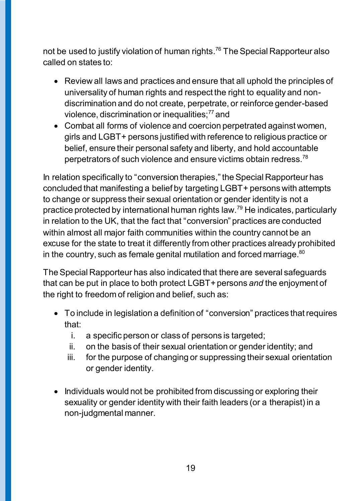not be used to justify violation of human rights. <sup>76</sup> The Special Rapporteur also called on states to:

- Review all laws and practices and ensure that all uphold the principles of universality of human rights and respect the right to equality and nondiscrimination and do not create, perpetrate, or reinforce gender-based violence, discrimination or inequalities;<sup>77</sup> and
- Combat all forms of violence and coercion perpetrated against women, girls and LGBT+ persons justified with reference to religious practice or belief, ensure their personal safety and liberty, and hold accountable perpetrators of such violence and ensure victims obtain redress.<sup>78</sup>

In relation specifically to "conversion therapies," the Special Rapporteur has concluded that manifesting a belief by targeting LGBT+ persons with attempts to change or suppress their sexual orientation or gender identity is not a practice protected by international human rights law.<sup>79</sup> He indicates, particularly in relation to the UK, that the fact that "conversion" practices are conducted within almost all major faith communities within the country cannot be an excuse for the state to treat it differently from other practices already prohibited in the country, such as female genital mutilation and forced marriage. $^{\mathrm{80}}$ 

The Special Rapporteur has also indicated that there are several safeguards that can be put in place to both protect LGBT+persons *and* the enjoyment of the right to freedom of religion and belief, such as:

- To include in legislation a definition of "conversion" practices that requires that:
	- i. a specific person or class of persons is targeted;
	- ii. on the basis of their sexual orientation or gender identity; and
	- iii. for the purpose of changing or suppressing their sexual orientation or gender identity.
- Individuals would not be prohibited from discussing or exploring their sexuality or gender identity with their faith leaders (or a therapist) in a non-judgmental manner.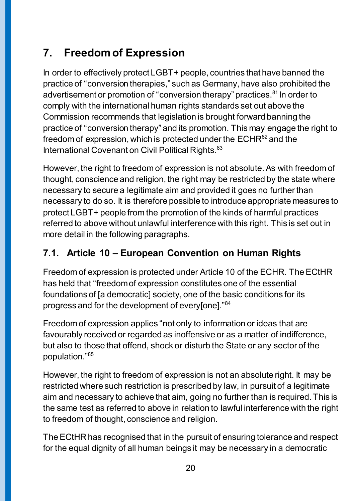## <span id="page-19-0"></span>**7. Freedom of Expression**

In order to effectively protect LGBT+ people, countries that have banned the practice of "conversion therapies," such as Germany, have also prohibited the advertisement or promotion of "conversion therapy" practices.<sup>81</sup> In order to comply with the international human rights standards set out above the Commission recommends that legislation is brought forward banning the practice of "conversion therapy" and its promotion. This may engage the right to freedom of expression, which is protected under the  $ECHR^{82}$  and the International Covenant on Civil Political Rights.<sup>83</sup>

However, the right to freedom of expression is not absolute. As with freedom of thought, conscience and religion, the right may be restricted by the state where necessary to secure a legitimate aim and provided it goes no further than necessary to do so. It is therefore possible to introduce appropriate measures to protect LGBT+ people from the promotion of the kinds of harmful practices referred to above without unlawful interference with this right. This is set out in more detail in the following paragraphs.

### <span id="page-19-1"></span>**7.1. Article 10 – European Convention on Human Rights**

Freedom of expression is protected under Article 10 of the ECHR. The ECtHR has held that "freedom of expression constitutes one of the essential foundations of [a democratic] society, one of the basic conditions for its progress and for the development of every[one]."<sup>84</sup>

Freedom of expression applies "not only to information or ideas that are favourably received or regarded as inoffensive or as a matter of indifference, but also to those that offend, shock or disturb the State or any sector of the population."<sup>85</sup>

However, the right to freedom of expression is not an absolute right. It may be restricted where such restriction is prescribed by law, in pursuit of a legitimate aim and necessary to achieve that aim, going no further than is required. This is the same test as referred to above in relation to lawful interference with the right to freedom of thought, conscience and religion.

The ECtHR has recognised that in the pursuit of ensuring tolerance and respect for the equal dignity of all human beings it may be necessary in a democratic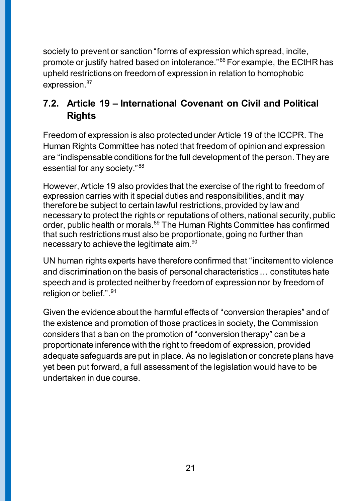society to prevent or sanction "forms of expression which spread, incite, promote or justify hatred based on intolerance."<sup>86</sup> For example, the ECtHR has upheld restrictions on freedom of expression in relation to homophobic expression.<sup>87</sup>

### <span id="page-20-0"></span>**7.2. Article 19 – International Covenant on Civil and Political Rights**

Freedom of expression is also protected under Article 19 of the ICCPR. The Human Rights Committee has noted that freedom of opinion and expression are "indispensable conditions for the full development of the person. They are essential for any society."<sup>88</sup>

However, Article 19 also provides that the exercise of the right to freedom of expression carries with it special duties and responsibilities, and it may therefore be subject to certain lawful restrictions, provided by law and necessary to protect the rights or reputations of others, national security, public order, public health or morals.<sup>89</sup> The Human Rights Committee has confirmed that such restrictions must also be proportionate, going no further than necessary to achieve the legitimate aim.<sup>90</sup>

UN human rights experts have therefore confirmed that "incitement to violence and discrimination on the basis of personal characteristics … constitutes hate speech and is protected neither by freedom of expression nor by freedom of religion or belief.".<sup>91</sup>

Given the evidence about the harmful effects of "conversion therapies" and of the existence and promotion of those practices in society, the Commission considers that a ban on the promotion of "conversion therapy" can be a proportionate inference with the right to freedom of expression, provided adequate safeguards are put in place. As no legislation or concrete plans have yet been put forward, a full assessment of the legislation would have to be undertaken in due course.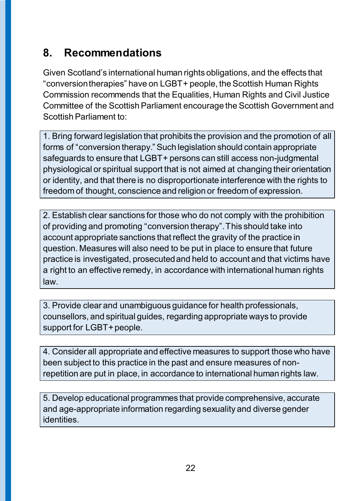## <span id="page-21-0"></span>**8. Recommendations**

Given Scotland's international human rights obligations, and the effects that "conversion therapies" have on LGBT+ people, the Scottish Human Rights Commission recommends that the Equalities, Human Rights and Civil Justice Committee of the Scottish Parliament encourage the Scottish Government and Scottish Parliament to:

1. Bring forward legislation that prohibits the provision and the promotion of all forms of "conversion therapy." Such legislation should contain appropriate safeguards to ensure that LGBT+ persons can still access non-judgmental physiological or spiritual support that is not aimed at changing their orientation or identity, and that there is no disproportionate interference with the rights to freedom of thought, conscience and religion or freedom of expression.

2. Establish clear sanctions for those who do not comply with the prohibition of providing and promoting "conversion therapy". This should take into account appropriate sanctions that reflect the gravity of the practice in question. Measures will also need to be put in place to ensure that future practice is investigated, prosecuted and held to account and that victims have a right to an effective remedy, in accordance with international human rights law.

3. Provide clear and unambiguous guidance for health professionals, counsellors, and spiritual guides, regarding appropriate ways to provide support for LGBT + people.

4. Consider all appropriate and effective measures to support those who have been subject to this practice in the past and ensure measures of nonrepetition are put in place, in accordance to international human rights law.

5. Develop educational programmes that provide comprehensive, accurate and age-appropriate information regarding sexuality and diverse gender identities.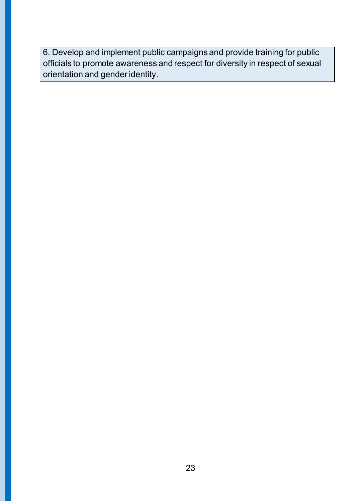6. Develop and implement public campaigns and provide training for public officials to promote awareness and respect for diversity in respect of sexual orientation and gender identity.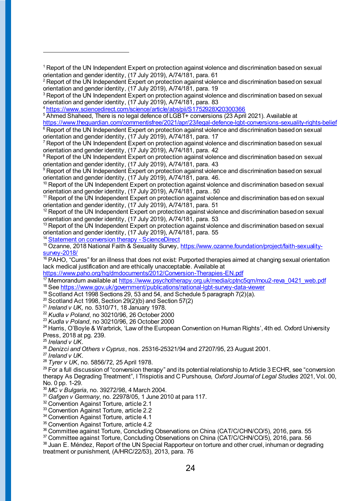<sup>1</sup> Report of the UN Independent Expert on protection against violence and discrimination based on sexual orientation and gender identity, (17 July 2019), A/74/181, para. 61

<sup>2</sup> Report of the UN Independent Expert on protection against violence and discrimination based on sexual orientation and gender identity, (17 July 2019), A/74/181, para. 19

<sup>3</sup> Report of the UN Independent Expert on protection against violence and discrimination based on sexual orientation and gender identity, (17 July 2019), A/74/181, para. 83

<sup>4</sup> <https://www.sciencedirect.com/science/article/abs/pii/S1752928X20300366>

<sup>5</sup> Ahmed Shaheed, There is no legal defence of LGBT+ conversions (23 April 2021). Available at

<https://www.theguardian.com/commentisfree/2021/apr/23/legal-defence-lgbt-conversions-sexuality-rights-belief> <sup>6</sup> Report of the UN Independent Expert on protection against violence and discrimination based on sexual

orientation and gender identity, (17 July 2019), A/74/181, para. 17

 $\mathrm{^{7}}$  Report of the UN Independent Expert on protection against violence and discrimination based on sexual orientation and gender identity, (17 July 2019), A/74/181, para. 42

<sup>8</sup> Report of the UN Independent Expert on protection against violence and discrimination based on sexual orientation and gender identity, (17 July 2019), A/74/181, para. 43

<sup>9</sup> Report of the UN Independent Expert on protection against violence and discrimination based on sexual orientation and gender identity, (17 July 2019), A/74/181, para. 46.

<sup>10</sup> Report of the UN Independent Expert on protection against violence and discrimination based on sexual orientation and gender identity, (17 July 2019), A/74/181, para.. 50

<sup>11</sup> Report of the UN Independent Expert on protection against violence and discrimination based on sexual orientation and gender identity, (17 July 2019), A/74/181, para. 51

 $12$  Report of the UN Independent Expert on protection against violence and discrimination based on sexual orientation and gender identity, (17 July 2019), A/74/181, para. 53

<sup>13</sup> Report of the UN Independent Expert on protection against violence and discrimination based on sexual orientation and gender identity, (17 July 2019), A/74/181, para. 55

<sup>14</sup> [Statement on conversion therapy -](https://www.sciencedirect.com/science/article/abs/pii/S1752928X20300366) ScienceDirect

<sup>15</sup> Ozanne, 2018 National Faith & Sexuality Survey[, https://www.ozanne.foundation/project/faith-sexuality](https://www.ozanne.foundation/project/faith-sexuality-survey-2018/)[survey-2018/](https://www.ozanne.foundation/project/faith-sexuality-survey-2018/)

 $16$  PAHO, "Cures" for an illness that does not exist: Purported therapies aimed at changing sexual orientation lack medical justification and are ethically unacceptable. Available at

<https://www.paho.org/hq/dmdocuments/2012/Conversion-Therapies-EN.pdf>

<sup>17</sup> Memorandum available at https://www.psychotherapy.org.uk/media/cptnc5gm/mou2-reva\_0421\_web.pdf

<sup>18</sup> See<https://www.gov.uk/government/publications/national-lgbt-survey-data-viewer>

 $19$  Scotland Act 1998 Sections 29, 53 and 54, and Schedule 5 paragraph  $7(2)(a)$ .

 $20$  Scotland Act 1998, Section 29(2)(b) and Section 57(2)

<sup>21</sup> *Ireland v UK,* no. 5310/71, 18 January 1978.

<sup>22</sup> *Kudla v Poland*, no 30210/96, 26 October 2000

<sup>23</sup> *Kudla v Poland*, no 30210/96, 26 October 2000

<sup>24</sup> Harris, O'Boyle & Warbrick, 'Law of the European Convention on Human Rights', 4th ed. Oxford University Press, 2018 at pg. 239.

<sup>25</sup> *Ireland v UK*.

 $\overline{a}$ 

<sup>26</sup> *Denizci and Others v Cyprus*, nos. 25316-25321/94 and 27207/95, 23 August 2001.

<sup>27</sup> *Ireland v UK*.

<sup>28</sup> *Tyrer v UK*, no. 5856/72, 25 April 1978.

 $^{29}$  For a full discussion of "conversion therapy" and its potential relationship to Article 3 ECHR, see "conversion therapy As Degrading Treatment", I Trispiotis and C Purshouse, *Oxford Journal of Legal Studies* 2021, Vol. 00, No. 0 pp. 1-29.

<sup>30</sup> *MC v Bulgaria*, no. 39272/98, 4 March 2004.

<sup>31</sup> *Gafgen v Germany*, no. 22978/05, 1 June 2010 at para 117.

<sup>32</sup> Convention Against Torture, article 2.1

<sup>33</sup> Convention Against Torture, article 2.2

<sup>34</sup> Convention Against Torture, article 4.1

<sup>35</sup> Convention Against Torture, article 4.2

<sup>36</sup> Committee against Torture, Concluding Observations on China (CAT/C/CHN/CO/5), 2016, para. 55

<sup>37</sup> Committee against Torture, Concluding Observations on China (CAT/C/CHN/CO/5), 2016, para. 56

38 Juan E. Méndez, Report of the UN Special Rapporteur on torture and other cruel, inhuman or degrading treatment or punishment, (A/HRC/22/53), 2013, para. 76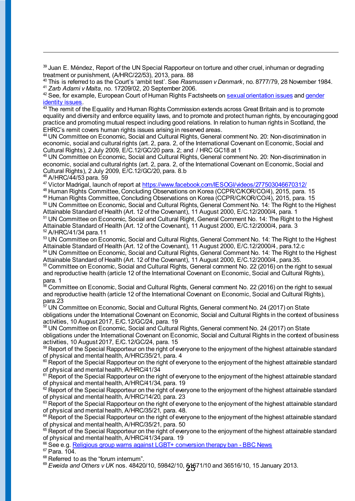<sup>39</sup> Juan E. Méndez, Report of the UN Special Rapporteur on torture and other cruel, inhuman or degrading treatment or punishment, (A/HRC/22/53), 2013, para. 88

<sup>40</sup> This is referred to as the Court's 'ambit test'. See *Rasmussen v Denmark*, no. 8777/79, 28 November 1984. <sup>41</sup> *Zarb Adami v Malta*, no. 17209/02, 20 September 2006.

 $42$  See, for example, European Court of Human Rights Factsheets o[n sexual orientation issues](https://www.echr.coe.int/documents/fs_sexual_orientation_eng.pdf) and gender [identity issues](https://www.echr.coe.int/Documents/FS_Gender_identity_ENG.pdf).

 $43$  The remit of the Equality and Human Rights Commission extends across Great Britain and is to promote equality and diversity and enforce equality laws, and to promote and protect human rights, by encouraging good practice and promoting mutual respect including good relations. In relation to human rights in Scotland, the EHRC's remit covers human rights issues arising in reserved areas.

<sup>44</sup> UN Committee on Economic, Social and Cultural Rights, General comment No. 20: Non-discrimination in economic, social and cultural rights (art. 2, para. 2, of the International Covenant on Economic, Social and Cultural Rights), 2 July 2009, E/C.12/GC/20 para. 2; and / HRC GC18 at 1

<sup>45</sup> UN Committee on Economic, Social and Cultural Rights, General comment No. 20: Non-discrimination in economic, social and cultural rights (art. 2, para. 2, of the International Covenant on Economic, Social and Cultural Rights), 2 July 2009, E/C.12/GC/20, para. 8.b

<sup>46</sup> A/HRC/44/53 para. 59

 $\overline{a}$ 

47 Victor Madrigal, launch of report a[t https://www.facebook.com/IESOGI/videos/277503046670312/](https://www.facebook.com/IESOGI/videos/277503046670312/)

<sup>48</sup> Human Rights Committee, Concluding Observations on Korea (CCPR/C/KOR/CO/4), 2015, para. 15

<sup>49</sup> Human Rights Committee, Concluding Observations on Korea (CCPR/C/KOR/CO/4), 2015, para. 15

50 UN Committee on Economic, Social and Cultural Rights, General Comment No. 14: The Right to the Highest Attainable Standard of Health (Art. 12 of the Covenant), 11 August 2000, E/C.12/2000/4, para. 1 <sup>51</sup> UN Committee on Economic, Social and Cultural Right, General Comment No. 14: The Right to the Highest Attainable Standard of Health (Art. 12 of the Covenant), 11 August 2000, E/C.12/2000/4, para. 3

52 A/HRC/41/34 para.11

53 UN Committee on Economic, Social and Cultural Rights, General Comment No. 14: The Right to the Highest Attainable Standard of Health (Art. 12 of the Covenant), 11 August 2000, E/C.12/2000/4, para.12.c

<sup>54</sup> UN Committee on Economic, Social and Cultural Rights, General Comment No. 14: The Right to the Highest Attainable Standard of Health (Art. 12 of the Covenant), 11 August 2000, E/C.12/2000/4, para.35. 55 Committee on Economic, Social and Cultural Rights, General comment No. 22 (2016) on the right to sexual

and reproductive health (article 12 of the International Covenant on Economic, Social and Cultural Rights), para. 1

 $^{56}$  Committee on Economic, Social and Cultural Rights, General comment No. 22 (2016) on the right to sexual and reproductive health (article 12 of the International Covenant on Economic, Social and Cultural Rights), para.23

UN Committee on Economic, Social and Cultural Rights, General comment No. 24 (2017) on State obligations under the International Covenant on Economic, Social and Cultural Rights in the context of business activities, 10 August 2017, E/C.12/GC/24, para. 19

<sup>58</sup> UN Committee on Economic, Social and Cultural Rights, General comment No. 24 (2017) on State obligations under the International Covenant on Economic, Social and Cultural Rights in the context of business activities, 10 August 2017, E/C.12/GC/24, para. 15

59 Report of the Special Rapporteur on the right of everyone to the enjoyment of the highest attainable standard of physical and mental health, A/HRC/35/21, para. 4

 $60$  Report of the Special Rapporteur on the right of everyone to the enjoyment of the highest attainable standard of physical and mental health, A/HRC/41/34

 $61$  Report of the Special Rapporteur on the right of everyone to the enjoyment of the highest attainable standard of physical and mental health, A/HRC/41/34, para. 19

 $62$  Report of the Special Rapporteur on the right of everyone to the enjoyment of the highest attainable standard of physical and mental health, A/HRC/14/20, para. 23

63 Report of the Special Rapporteur on the right of everyone to the enjoyment of the highest attainable standard of physical and mental health, A/HRC/35/21, para. 48.

<sup>64</sup> Report of the Special Rapporteur on the right of everyone to the enjoyment of the highest attainable standard of physical and mental health, A/HRC/35/21, para. 50

<sup>65</sup> Report of the Special Rapporteur on the right of everyone to the enjoyment of the highest attainable standard of physical and mental health, A/HRC/41/34 para. 19

<sup>66</sup> See e.g. [Religious group warns against LGBT+ conversion therapy ban -](https://www.bbc.co.uk/news/uk-politics-56420328) BBC News

 $67$  Para.  $104$ .

68 Referred to as the "forum internum".

<sup>⊛</sup> *Eweida and Others v UK* nos. 48420/10, 59842/10, **516**71/10 and 36516/10, 15 January 2013.